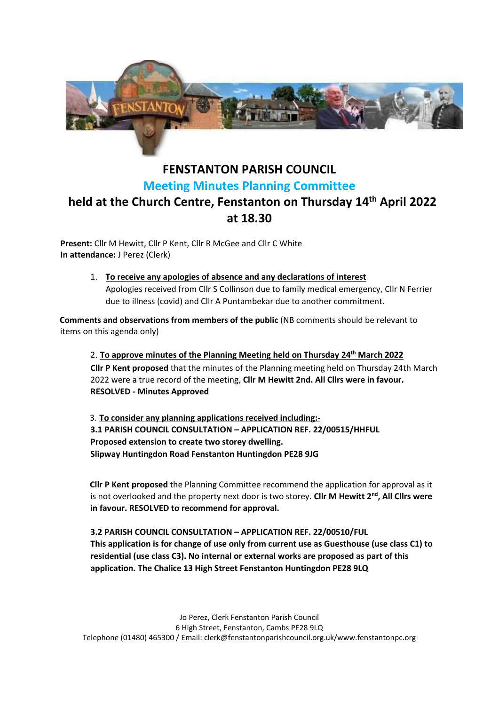

## **FENSTANTON PARISH COUNCIL Meeting Minutes Planning Committee held at the Church Centre, Fenstanton on Thursday 14th April 2022 at 18.30**

**Present:** Cllr M Hewitt, Cllr P Kent, Cllr R McGee and Cllr C White **In attendance:** J Perez (Clerk)

> 1. **To receive any apologies of absence and any declarations of interest** Apologies received from Cllr S Collinson due to family medical emergency, Cllr N Ferrier due to illness (covid) and Cllr A Puntambekar due to another commitment.

**Comments and observations from members of the public** (NB comments should be relevant to items on this agenda only)

2. **To approve minutes of the Planning Meeting held on Thursday 24th March 2022 Cllr P Kent proposed** that the minutes of the Planning meeting held on Thursday 24th March 2022 were a true record of the meeting, **Cllr M Hewitt 2nd. All Cllrs were in favour. RESOLVED - Minutes Approved** 

3. **To consider any planning applications received including:- 3.1 PARISH COUNCIL CONSULTATION – APPLICATION REF. 22/00515/HHFUL Proposed extension to create two storey dwelling. Slipway Huntingdon Road Fenstanton Huntingdon PE28 9JG**

**Cllr P Kent proposed** the Planning Committee recommend the application for approval as it is not overlooked and the property next door is two storey. **Cllr M Hewitt 2nd, All Cllrs were in favour. RESOLVED to recommend for approval.**

## **3.2 PARISH COUNCIL CONSULTATION – APPLICATION REF. 22/00510/FUL This application is for change of use only from current use as Guesthouse (use class C1) to residential (use class C3). No internal or external works are proposed as part of this application. The Chalice 13 High Street Fenstanton Huntingdon PE28 9LQ**